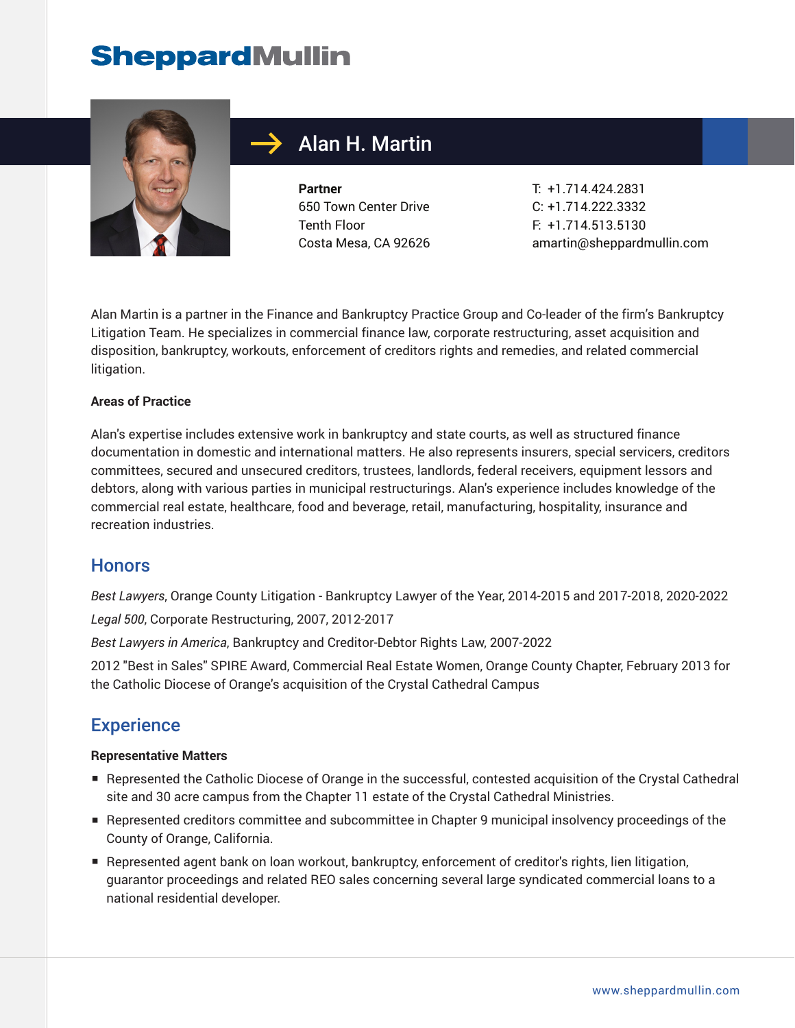

# Alan H. Martin

**Partner** 650 Town Center Drive Tenth Floor Costa Mesa, CA 92626

T: +1.714.424.2831 C: +1.714.222.3332 F: +1.714.513.5130 amartin@sheppardmullin.com

Alan Martin is a partner in the Finance and Bankruptcy Practice Group and Co-leader of the firm's Bankruptcy Litigation Team. He specializes in commercial finance law, corporate restructuring, asset acquisition and disposition, bankruptcy, workouts, enforcement of creditors rights and remedies, and related commercial litigation.

#### **Areas of Practice**

Alan's expertise includes extensive work in bankruptcy and state courts, as well as structured finance documentation in domestic and international matters. He also represents insurers, special servicers, creditors committees, secured and unsecured creditors, trustees, landlords, federal receivers, equipment lessors and debtors, along with various parties in municipal restructurings. Alan's experience includes knowledge of the commercial real estate, healthcare, food and beverage, retail, manufacturing, hospitality, insurance and recreation industries.

#### **Honors**

*Best Lawyers*, Orange County Litigation - Bankruptcy Lawyer of the Year, 2014-2015 and 2017-2018, 2020-2022 *Legal 500*, Corporate Restructuring, 2007, 2012-2017

*Best Lawyers in America*, Bankruptcy and Creditor-Debtor Rights Law, 2007-2022

2012 "Best in Sales" SPIRE Award, Commercial Real Estate Women, Orange County Chapter, February 2013 for the Catholic Diocese of Orange's acquisition of the Crystal Cathedral Campus

#### **Experience**

#### **Representative Matters**

- Represented the Catholic Diocese of Orange in the successful, contested acquisition of the Crystal Cathedral site and 30 acre campus from the Chapter 11 estate of the Crystal Cathedral Ministries.
- Represented creditors committee and subcommittee in Chapter 9 municipal insolvency proceedings of the County of Orange, California.
- Represented agent bank on loan workout, bankruptcy, enforcement of creditor's rights, lien litigation, guarantor proceedings and related REO sales concerning several large syndicated commercial loans to a national residential developer.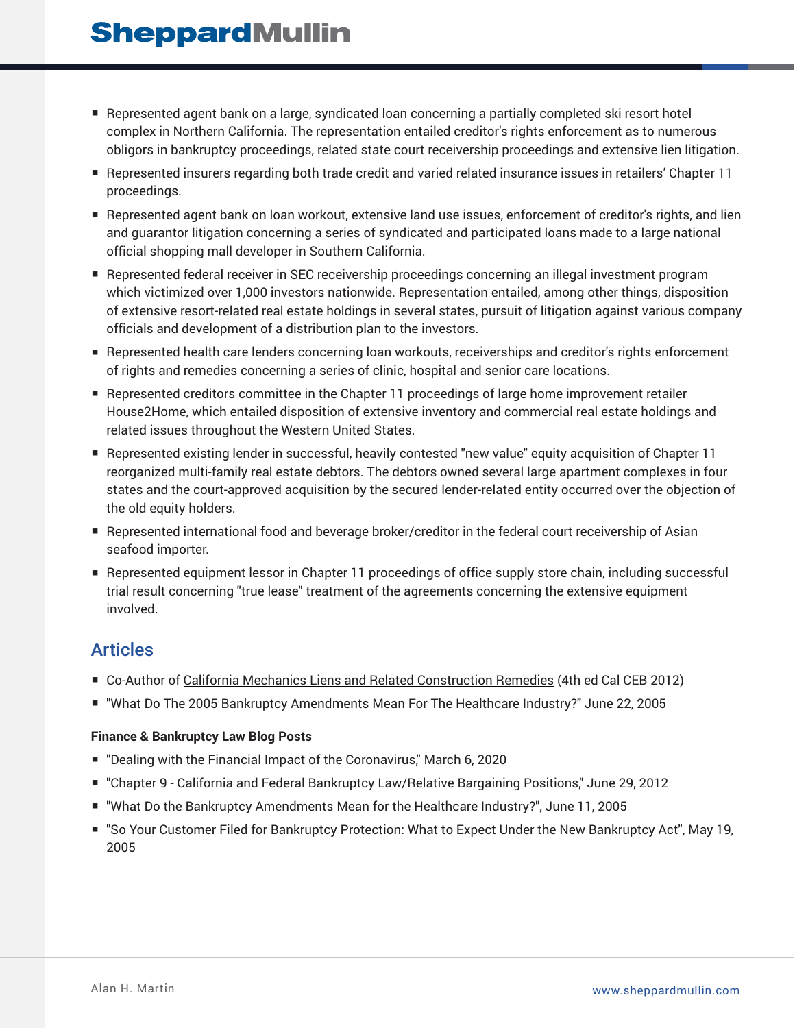- Represented agent bank on a large, syndicated loan concerning a partially completed ski resort hotel complex in Northern California. The representation entailed creditor's rights enforcement as to numerous obligors in bankruptcy proceedings, related state court receivership proceedings and extensive lien litigation.
- Represented insurers regarding both trade credit and varied related insurance issues in retailers' Chapter 11 proceedings.
- Represented agent bank on loan workout, extensive land use issues, enforcement of creditor's rights, and lien and guarantor litigation concerning a series of syndicated and participated loans made to a large national official shopping mall developer in Southern California.
- Represented federal receiver in SEC receivership proceedings concerning an illegal investment program which victimized over 1,000 investors nationwide. Representation entailed, among other things, disposition of extensive resort-related real estate holdings in several states, pursuit of litigation against various company officials and development of a distribution plan to the investors.
- Represented health care lenders concerning loan workouts, receiverships and creditor's rights enforcement of rights and remedies concerning a series of clinic, hospital and senior care locations.
- Represented creditors committee in the Chapter 11 proceedings of large home improvement retailer House2Home, which entailed disposition of extensive inventory and commercial real estate holdings and related issues throughout the Western United States.
- Represented existing lender in successful, heavily contested "new value" equity acquisition of Chapter 11 reorganized multi-family real estate debtors. The debtors owned several large apartment complexes in four states and the court-approved acquisition by the secured lender-related entity occurred over the objection of the old equity holders.
- Represented international food and beverage broker/creditor in the federal court receivership of Asian seafood importer.
- Represented equipment lessor in Chapter 11 proceedings of office supply store chain, including successful trial result concerning "true lease" treatment of the agreements concerning the extensive equipment involved.

### Articles

- Co-Author of California Mechanics Liens and Related Construction Remedies (4th ed Cal CEB 2012)
- "What Do The 2005 Bankruptcy Amendments Mean For The Healthcare Industry?" June 22, 2005

#### **Finance & Bankruptcy Law Blog Posts**

- "Dealing with the Financial Impact of the Coronavirus," March 6, 2020
- "Chapter 9 California and Federal Bankruptcy Law/Relative Bargaining Positions," June 29, 2012
- "What Do the Bankruptcy Amendments Mean for the Healthcare Industry?", June 11, 2005
- "So Your Customer Filed for Bankruptcy Protection: What to Expect Under the New Bankruptcy Act", May 19, 2005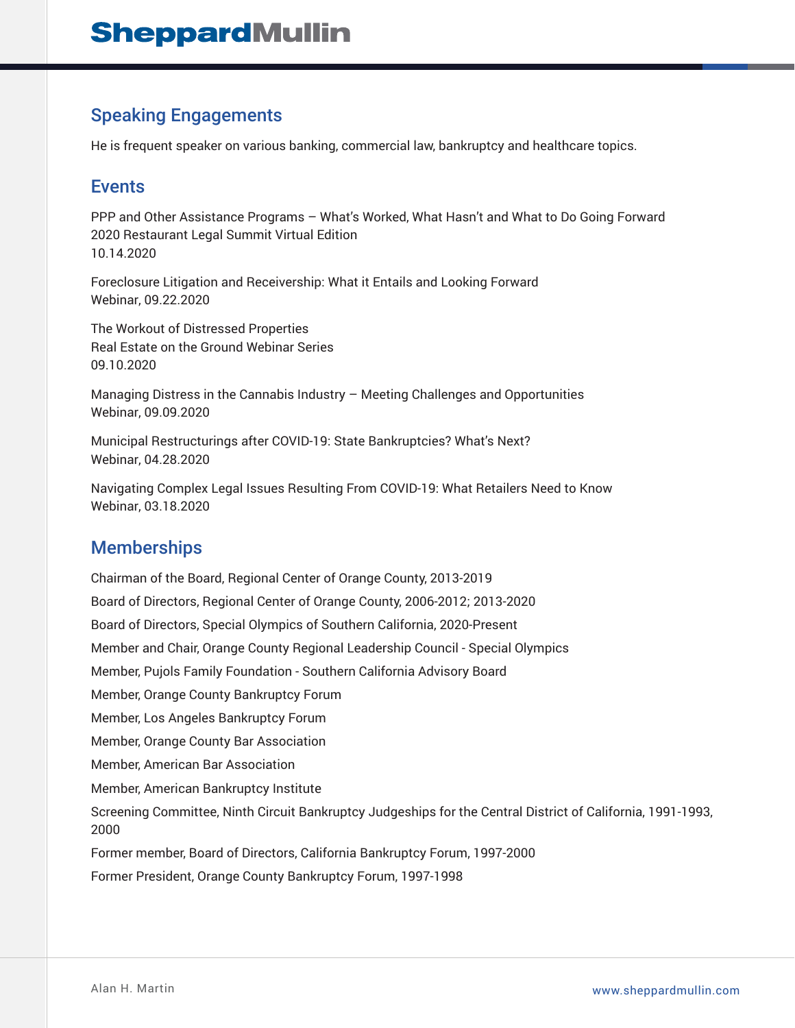## Speaking Engagements

He is frequent speaker on various banking, commercial law, bankruptcy and healthcare topics.

### Events

PPP and Other Assistance Programs – What's Worked, What Hasn't and What to Do Going Forward 2020 Restaurant Legal Summit Virtual Edition 10.14.2020

Foreclosure Litigation and Receivership: What it Entails and Looking Forward Webinar, 09.22.2020

The Workout of Distressed Properties Real Estate on the Ground Webinar Series 09.10.2020

Managing Distress in the Cannabis Industry – Meeting Challenges and Opportunities Webinar, 09.09.2020

Municipal Restructurings after COVID-19: State Bankruptcies? What's Next? Webinar, 04.28.2020

Navigating Complex Legal Issues Resulting From COVID-19: What Retailers Need to Know Webinar, 03.18.2020

### Memberships

Chairman of the Board, Regional Center of Orange County, 2013-2019 Board of Directors, Regional Center of Orange County, 2006-2012; 2013-2020 Board of Directors, Special Olympics of Southern California, 2020-Present Member and Chair, Orange County Regional Leadership Council - Special Olympics Member, Pujols Family Foundation - Southern California Advisory Board Member, Orange County Bankruptcy Forum Member, Los Angeles Bankruptcy Forum Member, Orange County Bar Association Member, American Bar Association Member, American Bankruptcy Institute Screening Committee, Ninth Circuit Bankruptcy Judgeships for the Central District of California, 1991-1993, 2000 Former member, Board of Directors, California Bankruptcy Forum, 1997-2000 Former President, Orange County Bankruptcy Forum, 1997-1998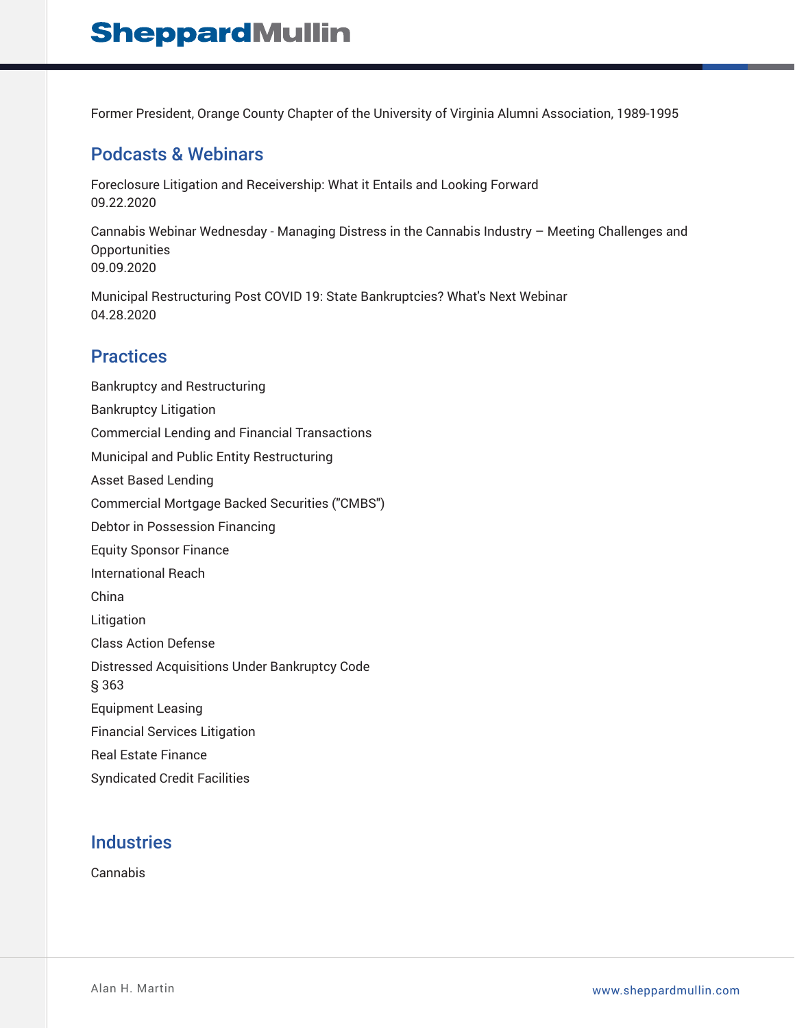Former President, Orange County Chapter of the University of Virginia Alumni Association, 1989-1995

### Podcasts & Webinars

Foreclosure Litigation and Receivership: What it Entails and Looking Forward 09.22.2020

Cannabis Webinar Wednesday - Managing Distress in the Cannabis Industry – Meeting Challenges and **Opportunities** 09.09.2020

Municipal Restructuring Post COVID 19: State Bankruptcies? What's Next Webinar 04.28.2020

### **Practices**

Bankruptcy and Restructuring Bankruptcy Litigation Commercial Lending and Financial Transactions Municipal and Public Entity Restructuring Asset Based Lending Commercial Mortgage Backed Securities ("CMBS") Debtor in Possession Financing Equity Sponsor Finance International Reach China Litigation Class Action Defense Distressed Acquisitions Under Bankruptcy Code § 363 Equipment Leasing Financial Services Litigation Real Estate Finance Syndicated Credit Facilities

### **Industries**

Cannabis